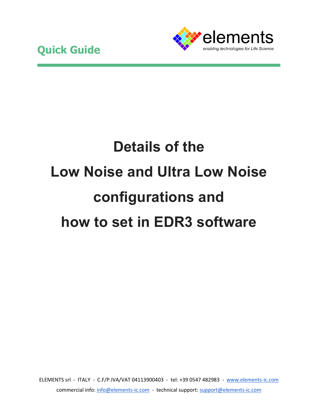

## **Details of the Low Noise and Ultra Low Noise configurations and how to set in EDR3 software**

ELEMENTS srl - ITALY - C.F/P.IVA/VAT 04113900403 - tel: +39 0547 482983 - [www.elements-ic.com](http://www.elements-ic.com/) commercial info[: info@elements-ic.com](mailto:info@elements-ic.com) - technical support: [support@elements-ic.com](mailto:support@elements-ic.com)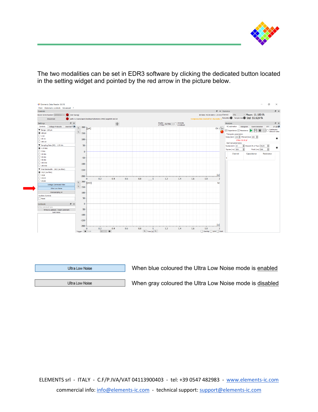

The two modalities can be set in EDR3 software by clicking the dedicated button located in the setting widget and pointed by the red arrow in the picture below.



Ultra Low Noise

When blue coloured the Ultra Low Noise mode is enabled

Ultra Low Noise

When gray coloured the Ultra Low Noise mode is disabled

ELEMENTS srl - ITALY - C.F/P.IVA/VAT 04113900403 - tel: +39 0547 482983 - [www.elements-ic.com](http://www.elements-ic.com/) commercial info[: info@elements-ic.com](mailto:info@elements-ic.com) - technical support: [support@elements-ic.com](mailto:support@elements-ic.com)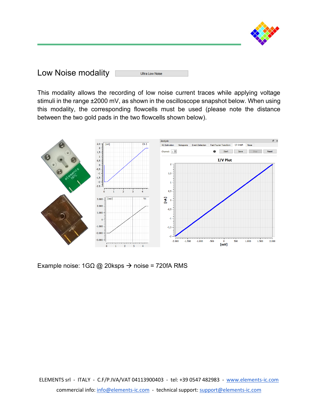

| Low Noise modality | Ultra Low Noise |
|--------------------|-----------------|
|--------------------|-----------------|

This modality allows the recording of low noise current traces while applying voltage stimuli in the range ±2000 mV, as shown in the oscilloscope snapshot below. When using this modality, the corresponding flowcells must be used (please note the distance between the two gold pads in the two flowcells shown below).



Example noise: 1GΩ @ 20ksps → noise = 720fA RMS